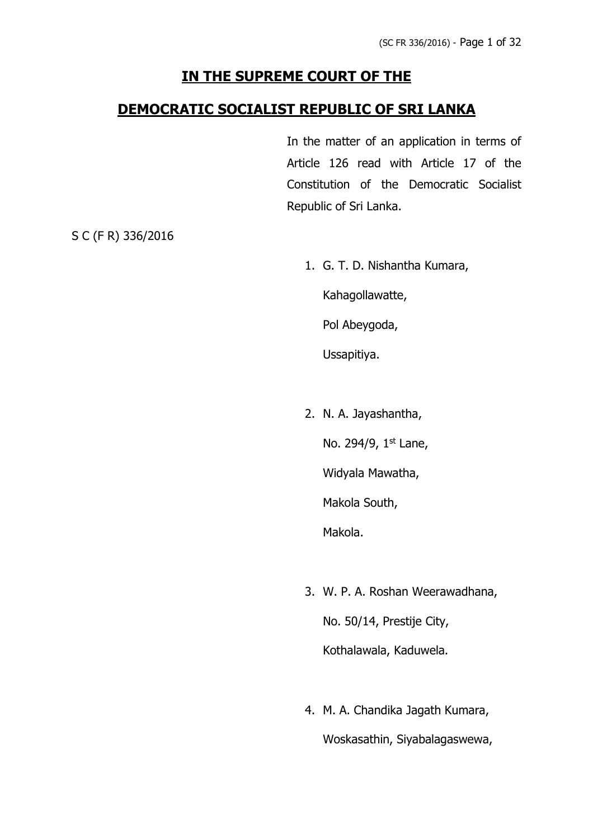# **IN THE SUPREME COURT OF THE**

### **DEMOCRATIC SOCIALIST REPUBLIC OF SRI LANKA**

In the matter of an application in terms of Article 126 read with Article 17 of the Constitution of the Democratic Socialist Republic of Sri Lanka.

S C (F R) 336/2016

1. G. T. D. Nishantha Kumara,

Kahagollawatte,

Pol Abeygoda,

Ussapitiya.

2. N. A. Jayashantha,

No. 294/9, 1st Lane,

Widyala Mawatha,

Makola South,

Makola.

- 3. W. P. A. Roshan Weerawadhana, No. 50/14, Prestije City, Kothalawala, Kaduwela.
- 4. M. A. Chandika Jagath Kumara, Woskasathin, Siyabalagaswewa,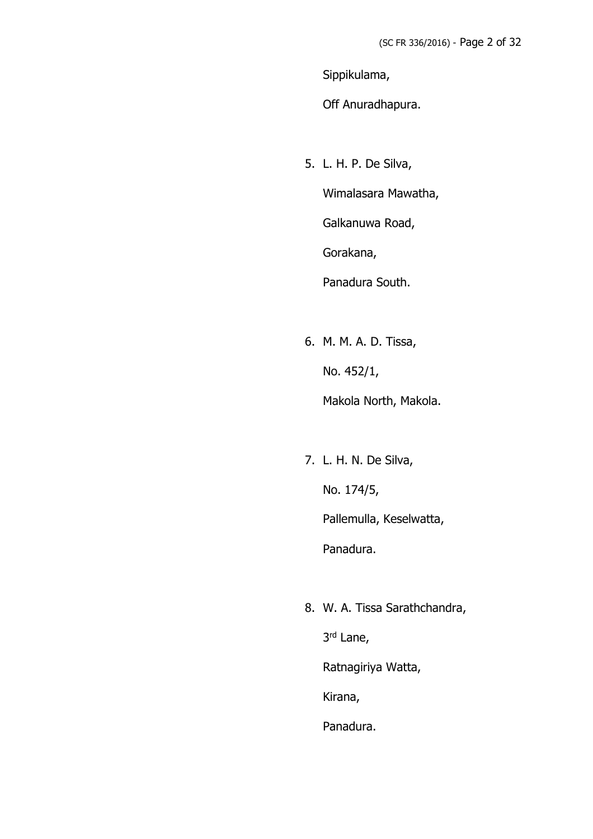Sippikulama,

Off Anuradhapura.

5. L. H. P. De Silva,

Wimalasara Mawatha,

Galkanuwa Road,

Gorakana,

Panadura South.

- 6. M. M. A. D. Tissa, No. 452/1, Makola North, Makola.
- 7. L. H. N. De Silva, No. 174/5, Pallemulla, Keselwatta, Panadura.
- 8. W. A. Tissa Sarathchandra,

3 rd Lane,

Ratnagiriya Watta,

Kirana,

Panadura.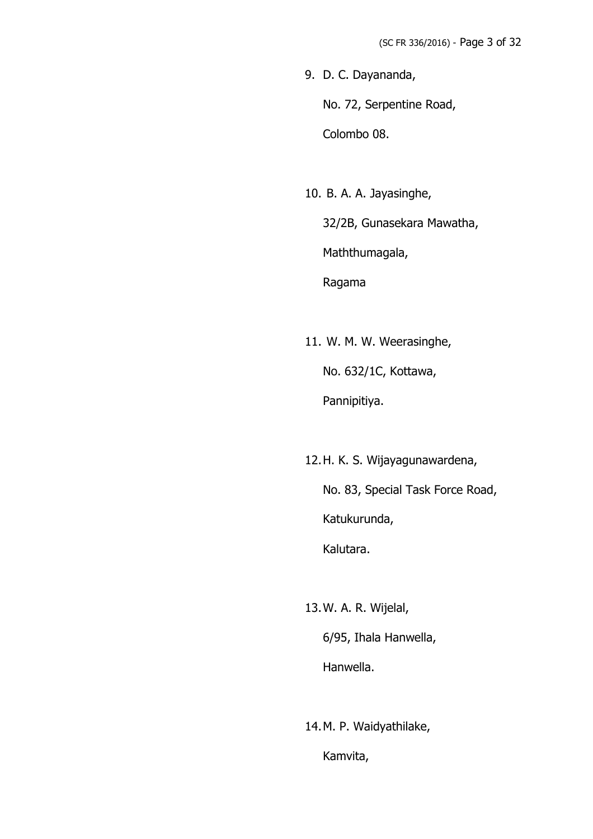9. D. C. Dayananda,

No. 72, Serpentine Road,

Colombo 08.

10. B. A. A. Jayasinghe,

32/2B, Gunasekara Mawatha, Maththumagala, Ragama

11. W. M. W. Weerasinghe, No. 632/1C, Kottawa, Pannipitiya.

12.H. K. S. Wijayagunawardena,

No. 83, Special Task Force Road, Katukurunda, Kalutara.

13.W. A. R. Wijelal, 6/95, Ihala Hanwella, Hanwella.

14.M. P. Waidyathilake, Kamvita,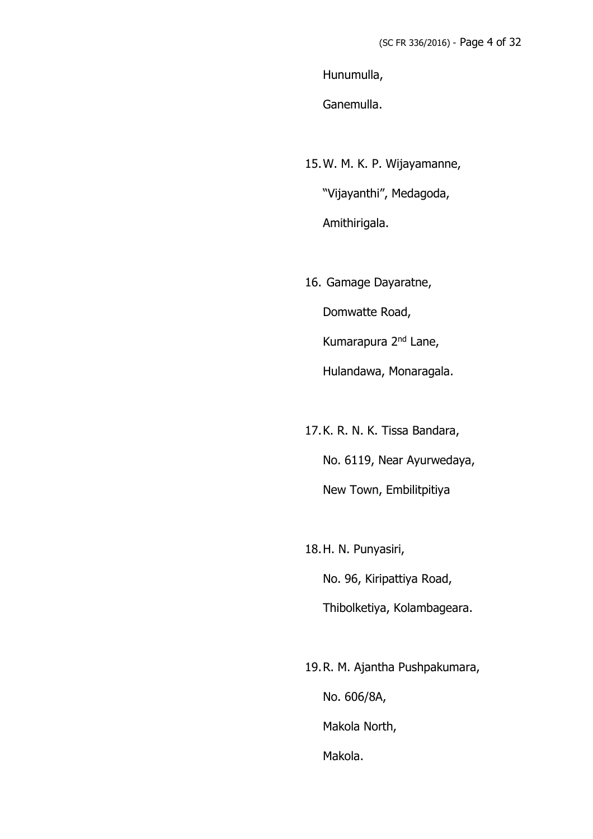Hunumulla,

Ganemulla.

15.W. M. K. P. Wijayamanne,

"Vijayanthi", Medagoda, Amithirigala.

16. Gamage Dayaratne,

Domwatte Road,

Kumarapura 2<sup>nd</sup> Lane,

Hulandawa, Monaragala.

- 17.K. R. N. K. Tissa Bandara, No. 6119, Near Ayurwedaya, New Town, Embilitpitiya
- 18.H. N. Punyasiri, No. 96, Kiripattiya Road, Thibolketiya, Kolambageara.
- 19.R. M. Ajantha Pushpakumara, No. 606/8A, Makola North, Makola.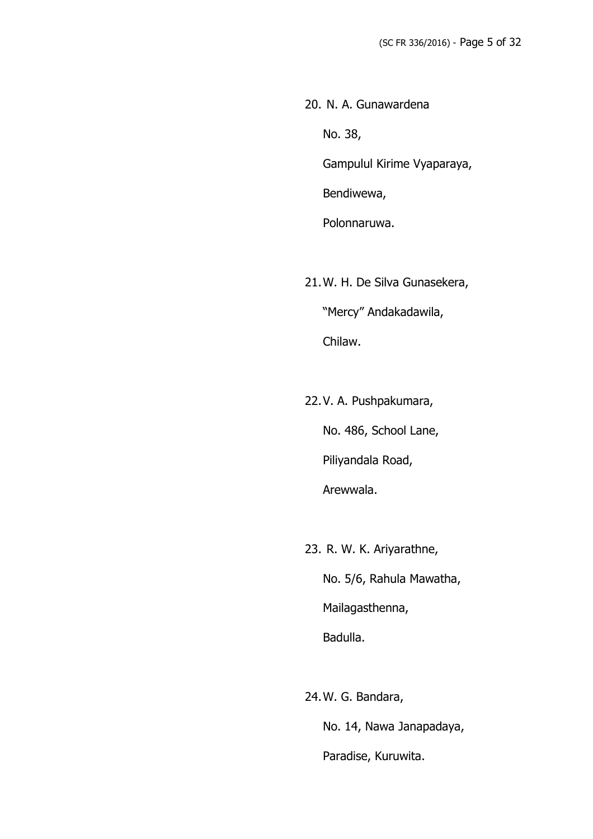20. N. A. Gunawardena No. 38,

Gampulul Kirime Vyaparaya,

Bendiwewa,

Polonnaruwa.

- 21.W. H. De Silva Gunasekera, "Mercy" Andakadawila, Chilaw.
- 22.V. A. Pushpakumara,

No. 486, School Lane,

Piliyandala Road,

Arewwala.

23. R. W. K. Ariyarathne,

No. 5/6, Rahula Mawatha, Mailagasthenna,

Badulla.

24.W. G. Bandara,

No. 14, Nawa Janapadaya, Paradise, Kuruwita.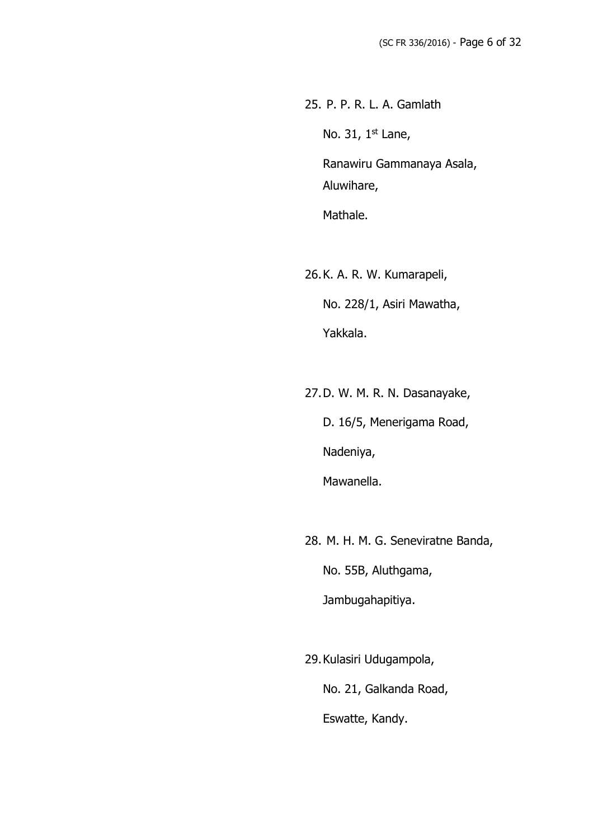25. P. P. R. L. A. Gamlath

No. 31, 1<sup>st</sup> Lane,

Ranawiru Gammanaya Asala, Aluwihare,

Mathale.

26.K. A. R. W. Kumarapeli, No. 228/1, Asiri Mawatha, Yakkala.

27.D. W. M. R. N. Dasanayake, D. 16/5, Menerigama Road, Nadeniya, Mawanella.

28. M. H. M. G. Seneviratne Banda, No. 55B, Aluthgama, Jambugahapitiya.

29.Kulasiri Udugampola, No. 21, Galkanda Road, Eswatte, Kandy.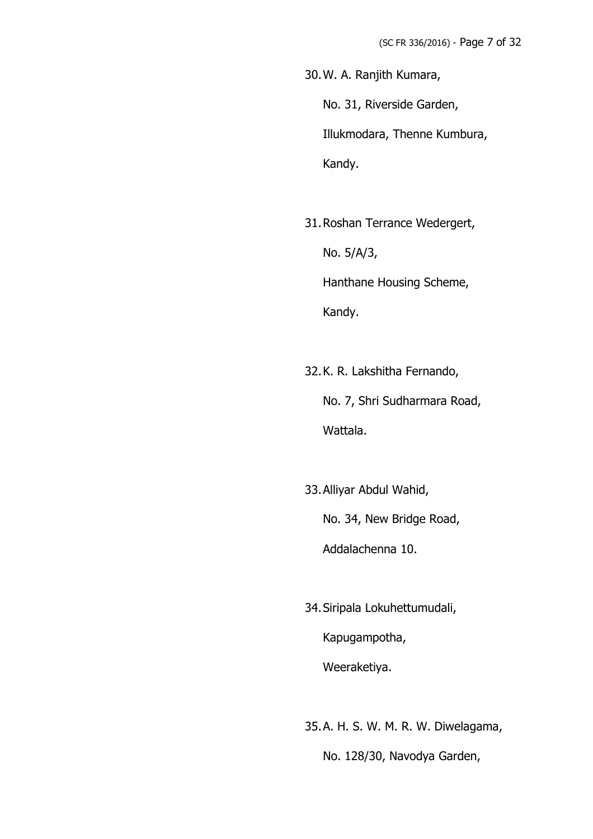30.W. A. Ranjith Kumara, No. 31, Riverside Garden, Illukmodara, Thenne Kumbura, Kandy.

31.Roshan Terrance Wedergert,

No. 5/A/3,

Hanthane Housing Scheme,

Kandy.

32.K. R. Lakshitha Fernando, No. 7, Shri Sudharmara Road, Wattala.

33.Alliyar Abdul Wahid, No. 34, New Bridge Road, Addalachenna 10.

34.Siripala Lokuhettumudali, Kapugampotha, Weeraketiya.

35.A. H. S. W. M. R. W. Diwelagama,

No. 128/30, Navodya Garden,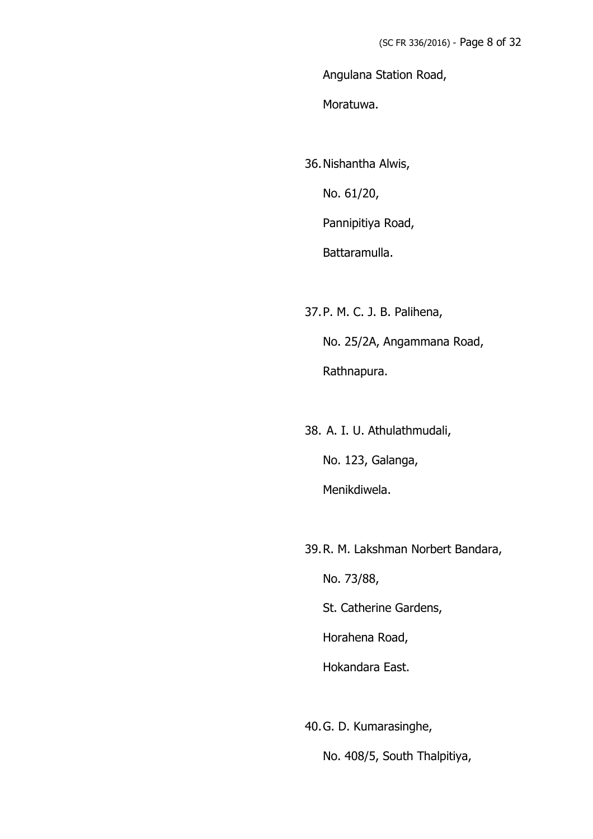Angulana Station Road,

Moratuwa.

36.Nishantha Alwis,

No. 61/20,

Pannipitiya Road,

Battaramulla.

37.P. M. C. J. B. Palihena,

No. 25/2A, Angammana Road,

Rathnapura.

38. A. I. U. Athulathmudali, No. 123, Galanga, Menikdiwela.

39.R. M. Lakshman Norbert Bandara,

No. 73/88,

St. Catherine Gardens,

Horahena Road,

Hokandara East.

40.G. D. Kumarasinghe, No. 408/5, South Thalpitiya,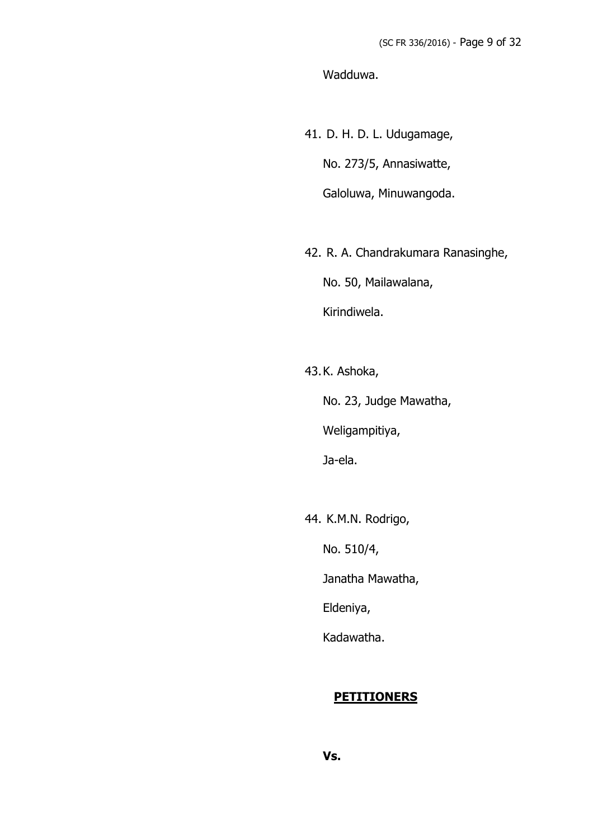Wadduwa.

- 41. D. H. D. L. Udugamage, No. 273/5, Annasiwatte, Galoluwa, Minuwangoda.
- 42. R. A. Chandrakumara Ranasinghe,

No. 50, Mailawalana,

Kirindiwela.

43.K. Ashoka,

No. 23, Judge Mawatha,

Weligampitiya,

Ja-ela.

44. K.M.N. Rodrigo,

No. 510/4,

Janatha Mawatha,

Eldeniya,

Kadawatha.

#### **PETITIONERS**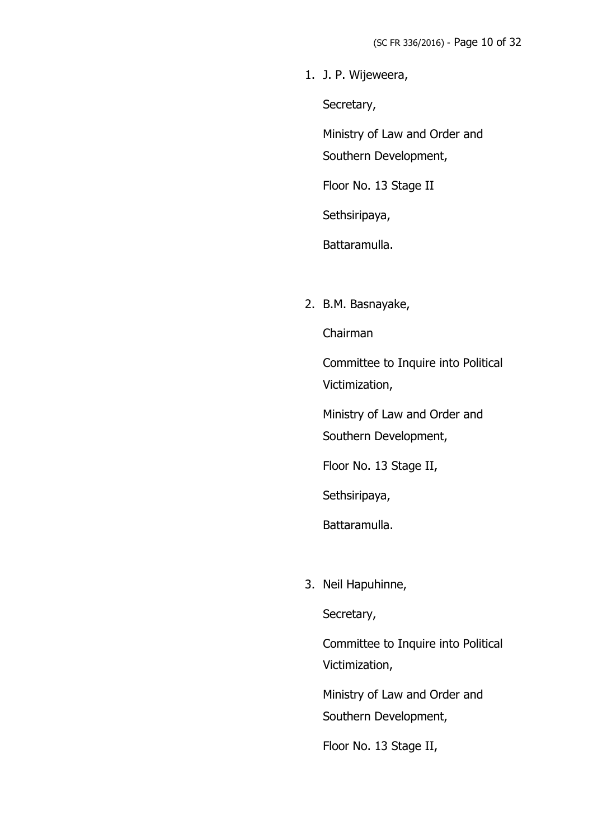1. J. P. Wijeweera,

Secretary,

Ministry of Law and Order and Southern Development,

Floor No. 13 Stage II

Sethsiripaya,

Battaramulla.

2. B.M. Basnayake,

Chairman

Committee to Inquire into Political Victimization,

Ministry of Law and Order and Southern Development,

Floor No. 13 Stage II,

Sethsiripaya,

Battaramulla.

3. Neil Hapuhinne,

Secretary,

Committee to Inquire into Political Victimization,

Ministry of Law and Order and Southern Development,

Floor No. 13 Stage II,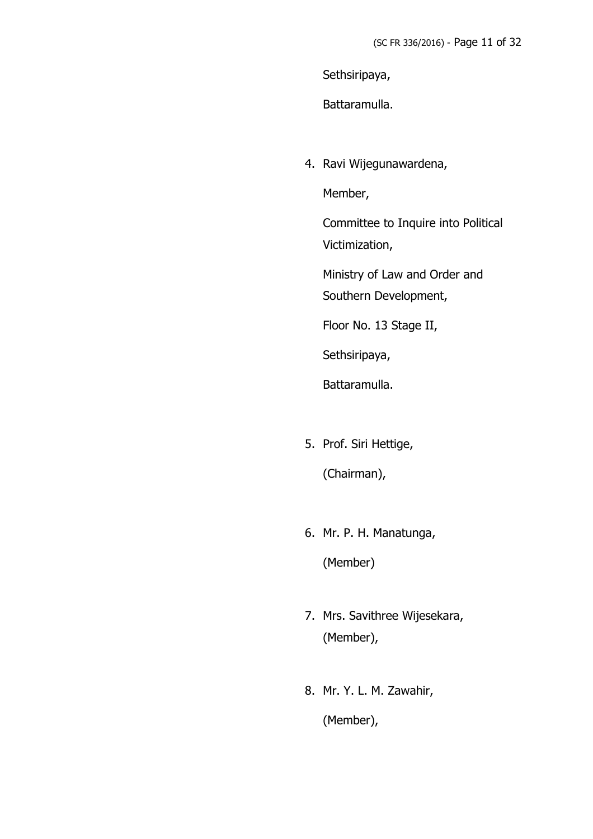Sethsiripaya,

Battaramulla.

4. Ravi Wijegunawardena,

Member,

Committee to Inquire into Political Victimization,

Ministry of Law and Order and

Southern Development,

Floor No. 13 Stage II,

Sethsiripaya,

Battaramulla.

5. Prof. Siri Hettige,

(Chairman),

6. Mr. P. H. Manatunga,

(Member)

- 7. Mrs. Savithree Wijesekara, (Member),
- 8. Mr. Y. L. M. Zawahir,

(Member),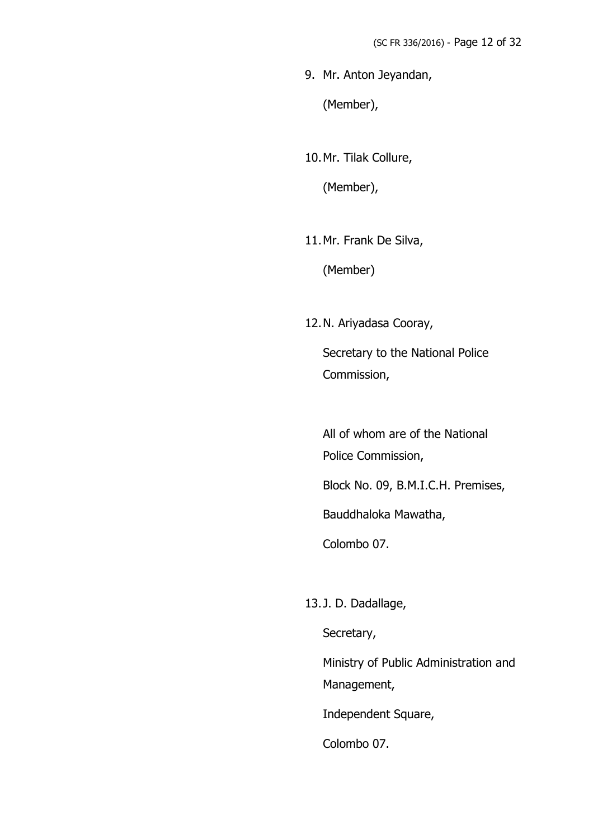9. Mr. Anton Jeyandan,

(Member),

10.Mr. Tilak Collure,

(Member),

11.Mr. Frank De Silva,

(Member)

12.N. Ariyadasa Cooray,

Secretary to the National Police Commission,

All of whom are of the National Police Commission, Block No. 09, B.M.I.C.H. Premises, Bauddhaloka Mawatha,

Colombo 07.

13.J. D. Dadallage,

Secretary,

Ministry of Public Administration and Management,

Independent Square,

Colombo 07.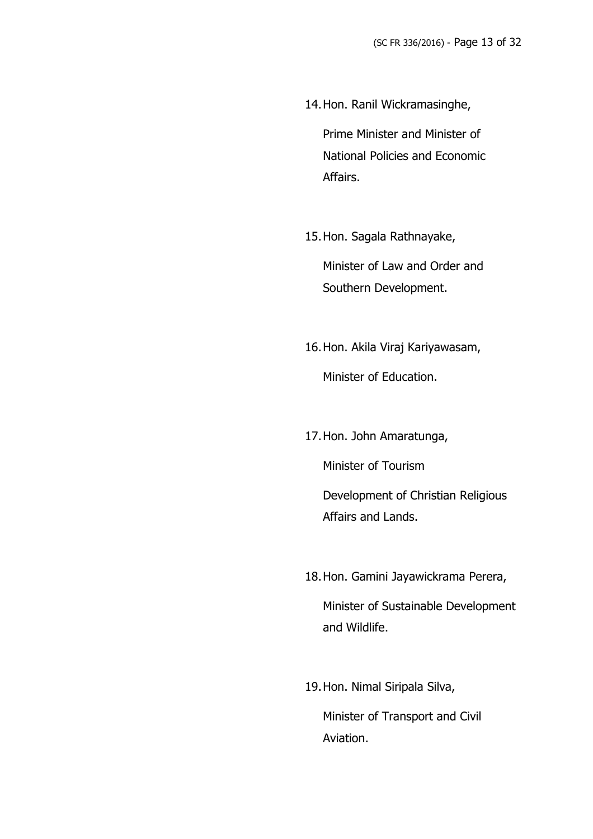14.Hon. Ranil Wickramasinghe,

Prime Minister and Minister of National Policies and Economic Affairs.

15.Hon. Sagala Rathnayake,

Minister of Law and Order and Southern Development.

16.Hon. Akila Viraj Kariyawasam, Minister of Education.

17.Hon. John Amaratunga, Minister of Tourism Development of Christian Religious Affairs and Lands.

- 18.Hon. Gamini Jayawickrama Perera, Minister of Sustainable Development and Wildlife.
- 19.Hon. Nimal Siripala Silva,

Minister of Transport and Civil Aviation.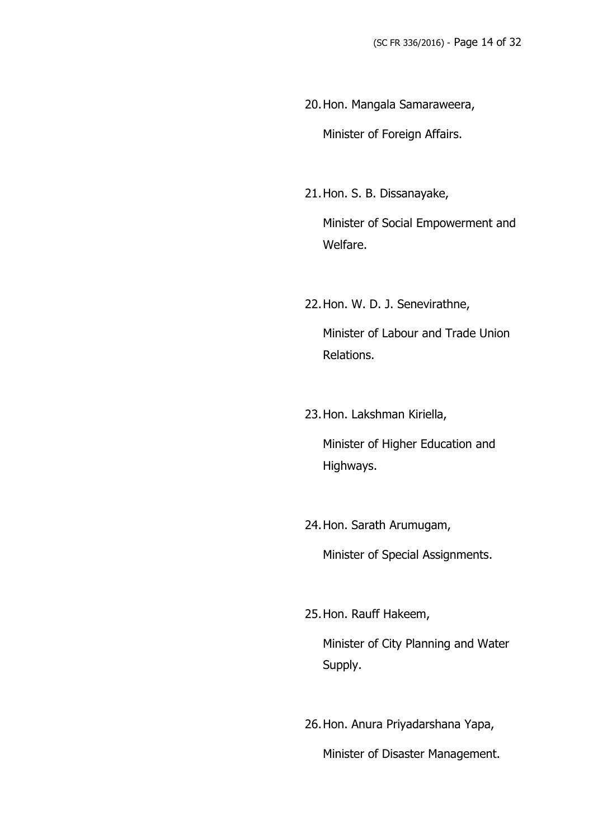- 20.Hon. Mangala Samaraweera, Minister of Foreign Affairs.
- 21.Hon. S. B. Dissanayake,

Minister of Social Empowerment and Welfare.

- 22.Hon. W. D. J. Senevirathne, Minister of Labour and Trade Union Relations.
- 23.Hon. Lakshman Kiriella, Minister of Higher Education and Highways.
- 24.Hon. Sarath Arumugam,

Minister of Special Assignments.

25.Hon. Rauff Hakeem,

Minister of City Planning and Water Supply.

26.Hon. Anura Priyadarshana Yapa, Minister of Disaster Management.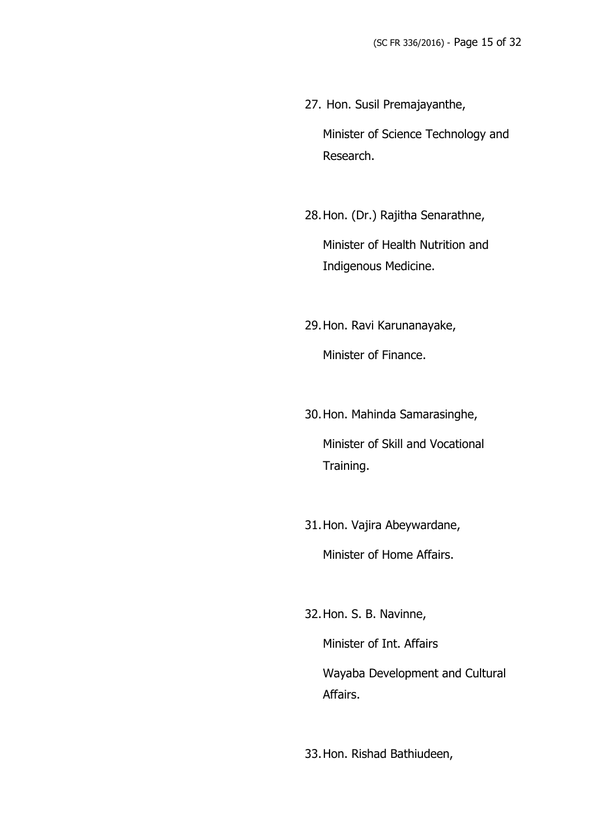27. Hon. Susil Premajayanthe, Minister of Science Technology and Research.

28.Hon. (Dr.) Rajitha Senarathne, Minister of Health Nutrition and

29.Hon. Ravi Karunanayake, Minister of Finance.

Indigenous Medicine.

30.Hon. Mahinda Samarasinghe, Minister of Skill and Vocational Training.

31.Hon. Vajira Abeywardane, Minister of Home Affairs.

32.Hon. S. B. Navinne,

Minister of Int. Affairs Wayaba Development and Cultural Affairs.

33.Hon. Rishad Bathiudeen,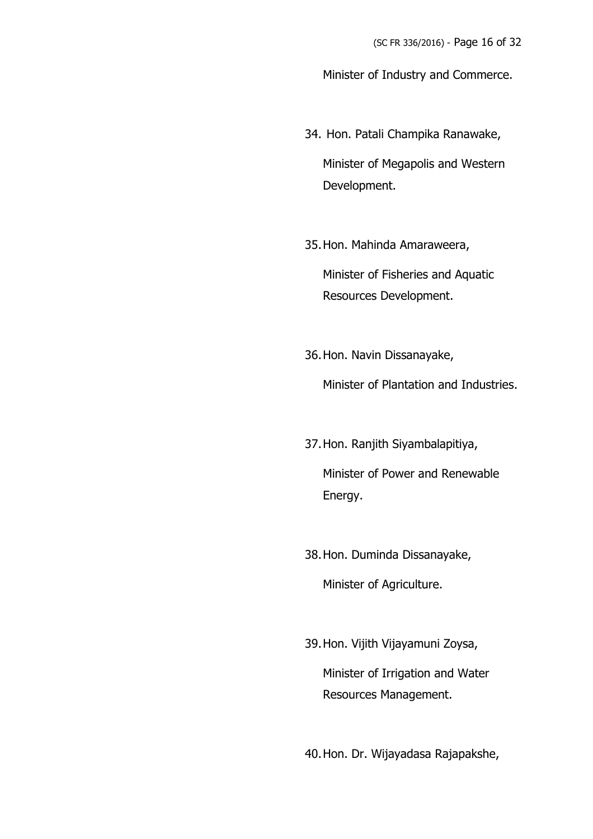Minister of Industry and Commerce.

- 34. Hon. Patali Champika Ranawake, Minister of Megapolis and Western Development.
- 35.Hon. Mahinda Amaraweera,

Minister of Fisheries and Aquatic Resources Development.

36.Hon. Navin Dissanayake,

Minister of Plantation and Industries.

- 37.Hon. Ranjith Siyambalapitiya, Minister of Power and Renewable Energy.
- 38.Hon. Duminda Dissanayake, Minister of Agriculture.
- 39.Hon. Vijith Vijayamuni Zoysa, Minister of Irrigation and Water Resources Management.

40.Hon. Dr. Wijayadasa Rajapakshe,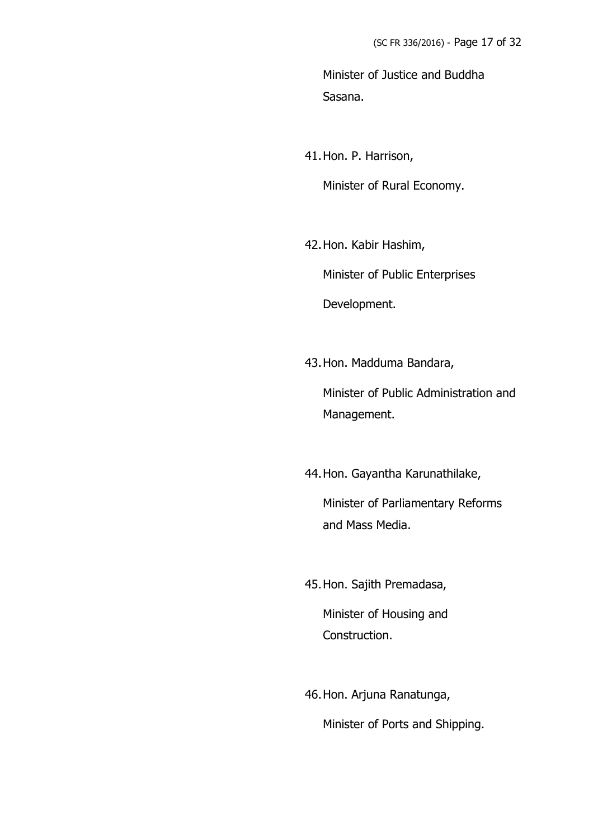Minister of Justice and Buddha Sasana.

41.Hon. P. Harrison, Minister of Rural Economy.

42.Hon. Kabir Hashim,

Minister of Public Enterprises

Development.

43.Hon. Madduma Bandara,

Minister of Public Administration and Management.

44.Hon. Gayantha Karunathilake,

Minister of Parliamentary Reforms and Mass Media.

45.Hon. Sajith Premadasa,

Minister of Housing and Construction.

46.Hon. Arjuna Ranatunga,

Minister of Ports and Shipping.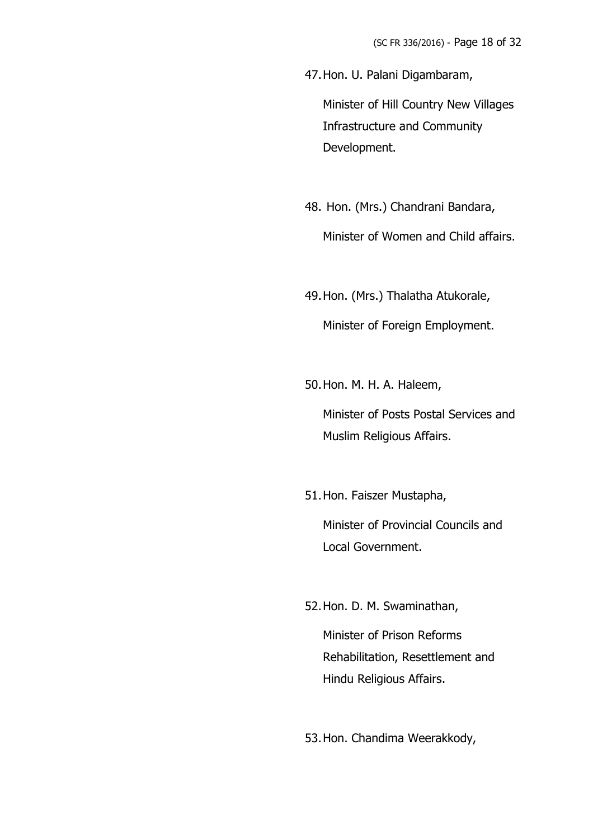47.Hon. U. Palani Digambaram,

Minister of Hill Country New Villages Infrastructure and Community Development.

- 48. Hon. (Mrs.) Chandrani Bandara, Minister of Women and Child affairs.
- 49.Hon. (Mrs.) Thalatha Atukorale, Minister of Foreign Employment.
- 50.Hon. M. H. A. Haleem,

Minister of Posts Postal Services and Muslim Religious Affairs.

51.Hon. Faiszer Mustapha,

Minister of Provincial Councils and Local Government.

52.Hon. D. M. Swaminathan,

Minister of Prison Reforms Rehabilitation, Resettlement and Hindu Religious Affairs.

53.Hon. Chandima Weerakkody,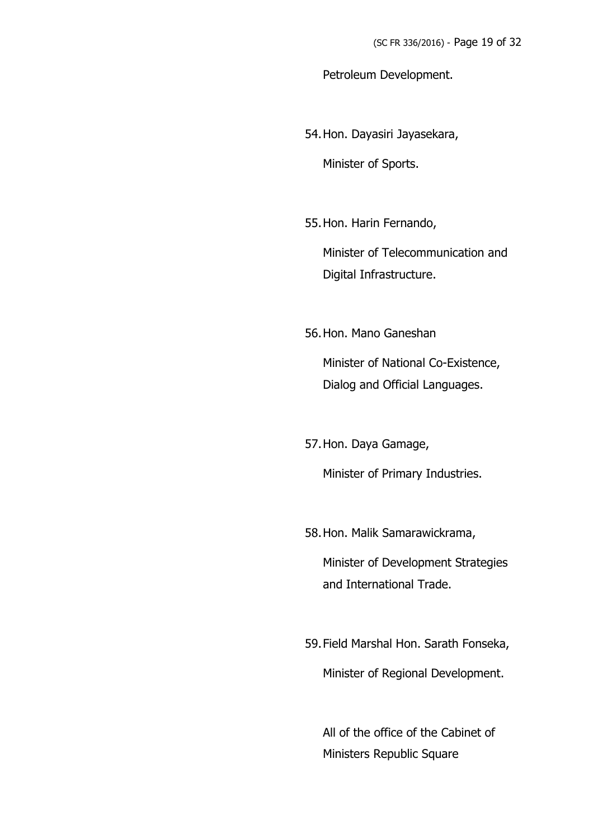Petroleum Development.

54.Hon. Dayasiri Jayasekara,

Minister of Sports.

55.Hon. Harin Fernando,

Minister of Telecommunication and Digital Infrastructure.

56.Hon. Mano Ganeshan

Minister of National Co-Existence, Dialog and Official Languages.

57.Hon. Daya Gamage,

Minister of Primary Industries.

58.Hon. Malik Samarawickrama,

Minister of Development Strategies and International Trade.

59.Field Marshal Hon. Sarath Fonseka, Minister of Regional Development.

All of the office of the Cabinet of Ministers Republic Square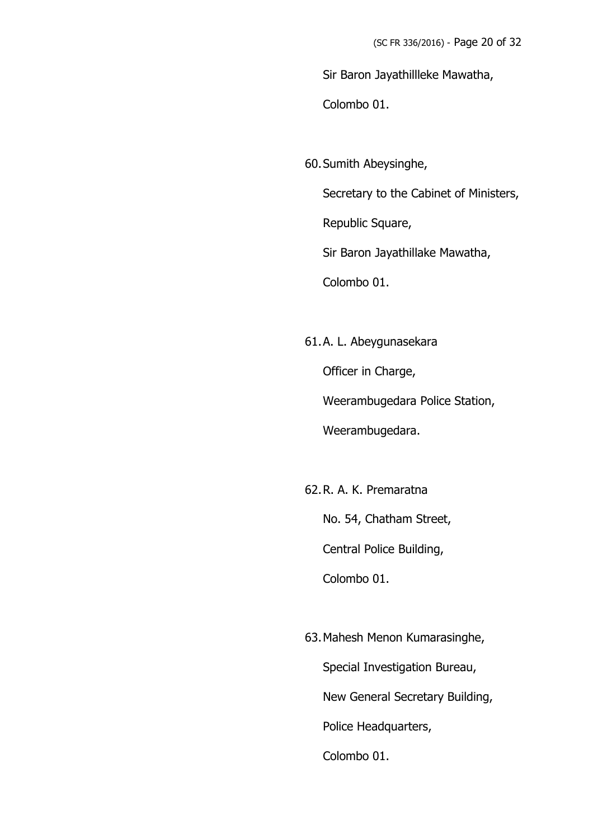Sir Baron Jayathillleke Mawatha,

Colombo 01.

60.Sumith Abeysinghe,

Secretary to the Cabinet of Ministers,

Republic Square,

Sir Baron Jayathillake Mawatha,

Colombo 01.

61.A. L. Abeygunasekara

Officer in Charge,

Weerambugedara Police Station,

Weerambugedara.

62.R. A. K. Premaratna

No. 54, Chatham Street,

Central Police Building,

Colombo 01.

63.Mahesh Menon Kumarasinghe,

Special Investigation Bureau,

New General Secretary Building,

Police Headquarters,

Colombo 01.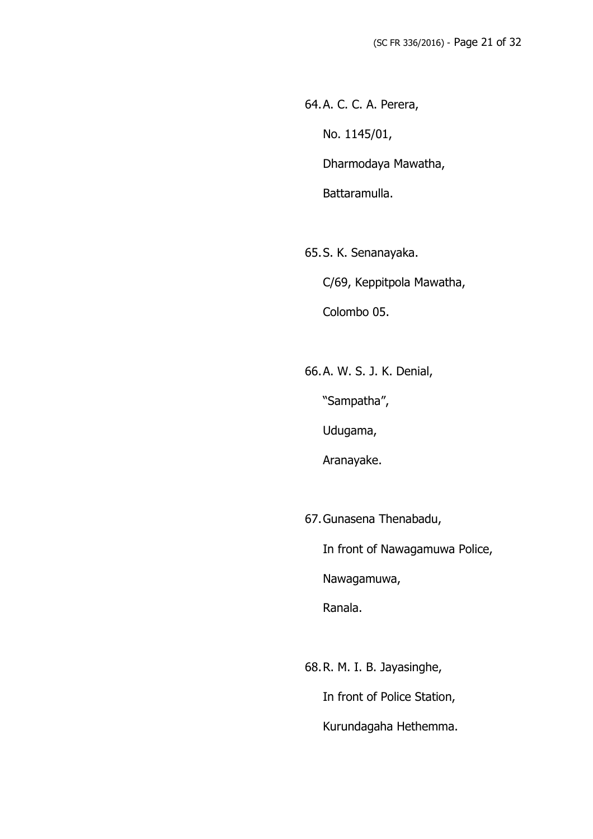64.A. C. C. A. Perera, No. 1145/01, Dharmodaya Mawatha, Battaramulla.

65.S. K. Senanayaka. C/69, Keppitpola Mawatha, Colombo 05.

66.A. W. S. J. K. Denial,

"Sampatha",

Udugama,

Aranayake.

67.Gunasena Thenabadu,

In front of Nawagamuwa Police,

Nawagamuwa,

Ranala.

68.R. M. I. B. Jayasinghe, In front of Police Station, Kurundagaha Hethemma.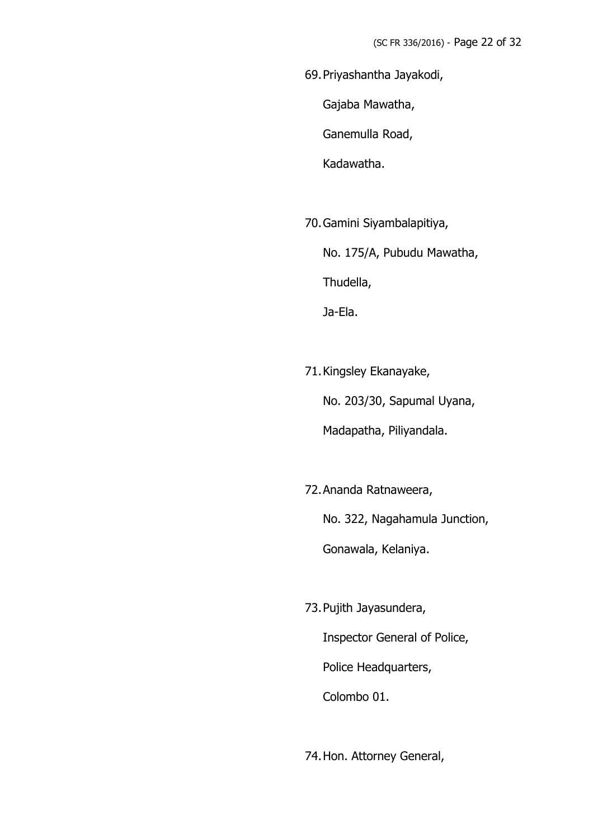69.Priyashantha Jayakodi,

Gajaba Mawatha,

Ganemulla Road,

Kadawatha.

70.Gamini Siyambalapitiya,

No. 175/A, Pubudu Mawatha,

Thudella,

Ja-Ela.

71.Kingsley Ekanayake,

No. 203/30, Sapumal Uyana,

Madapatha, Piliyandala.

72.Ananda Ratnaweera,

No. 322, Nagahamula Junction,

Gonawala, Kelaniya.

73.Pujith Jayasundera, Inspector General of Police, Police Headquarters, Colombo 01.

74.Hon. Attorney General,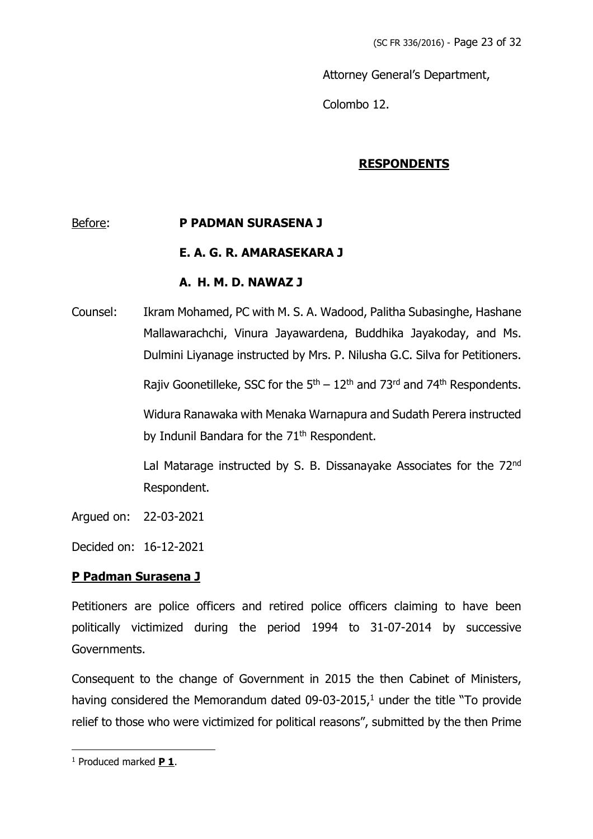Attorney General's Department,

Colombo 12.

### **RESPONDENTS**

### Before: **P PADMAN SURASENA J**

#### **E. A. G. R. AMARASEKARA J**

#### **A. H. M. D. NAWAZ J**

Counsel: Ikram Mohamed, PC with M. S. A. Wadood, Palitha Subasinghe, Hashane Mallawarachchi, Vinura Jayawardena, Buddhika Jayakoday, and Ms. Dulmini Liyanage instructed by Mrs. P. Nilusha G.C. Silva for Petitioners.

Rajiv Goonetilleke, SSC for the 5<sup>th</sup> – 12<sup>th</sup> and 73<sup>rd</sup> and 74<sup>th</sup> Respondents.

Widura Ranawaka with Menaka Warnapura and Sudath Perera instructed by Indunil Bandara for the 71<sup>th</sup> Respondent.

Lal Matarage instructed by S. B. Dissanayake Associates for the 72nd Respondent.

Argued on: 22-03-2021

Decided on: 16-12-2021

#### **P Padman Surasena J**

Petitioners are police officers and retired police officers claiming to have been politically victimized during the period 1994 to 31-07-2014 by successive Governments.

Consequent to the change of Government in 2015 the then Cabinet of Ministers, having considered the Memorandum dated  $09-03-2015$ ,<sup>1</sup> under the title "To provide" relief to those who were victimized for political reasons", submitted by the then Prime

<sup>1</sup> Produced marked **P 1**.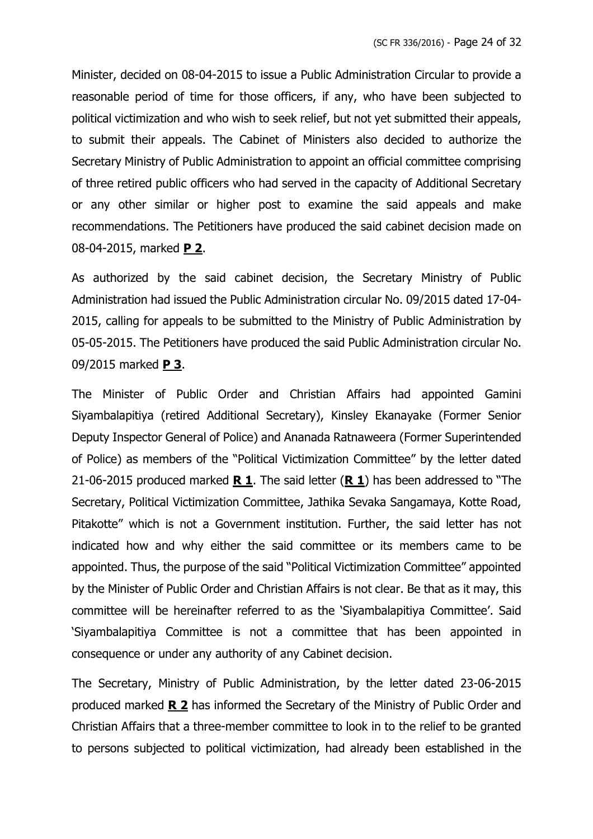Minister, decided on 08-04-2015 to issue a Public Administration Circular to provide a reasonable period of time for those officers, if any, who have been subjected to political victimization and who wish to seek relief, but not yet submitted their appeals, to submit their appeals. The Cabinet of Ministers also decided to authorize the Secretary Ministry of Public Administration to appoint an official committee comprising of three retired public officers who had served in the capacity of Additional Secretary or any other similar or higher post to examine the said appeals and make recommendations. The Petitioners have produced the said cabinet decision made on 08-04-2015, marked **P 2**.

As authorized by the said cabinet decision, the Secretary Ministry of Public Administration had issued the Public Administration circular No. 09/2015 dated 17-04- 2015, calling for appeals to be submitted to the Ministry of Public Administration by 05-05-2015. The Petitioners have produced the said Public Administration circular No. 09/2015 marked **P 3**.

The Minister of Public Order and Christian Affairs had appointed Gamini Siyambalapitiya (retired Additional Secretary), Kinsley Ekanayake (Former Senior Deputy Inspector General of Police) and Ananada Ratnaweera (Former Superintended of Police) as members of the "Political Victimization Committee" by the letter dated 21-06-2015 produced marked **R 1**. The said letter (**R 1**) has been addressed to "The Secretary, Political Victimization Committee, Jathika Sevaka Sangamaya, Kotte Road, Pitakotte" which is not a Government institution. Further, the said letter has not indicated how and why either the said committee or its members came to be appointed. Thus, the purpose of the said "Political Victimization Committee" appointed by the Minister of Public Order and Christian Affairs is not clear. Be that as it may, this committee will be hereinafter referred to as the 'Siyambalapitiya Committee'. Said 'Siyambalapitiya Committee is not a committee that has been appointed in consequence or under any authority of any Cabinet decision.

The Secretary, Ministry of Public Administration, by the letter dated 23-06-2015 produced marked **R 2** has informed the Secretary of the Ministry of Public Order and Christian Affairs that a three-member committee to look in to the relief to be granted to persons subjected to political victimization, had already been established in the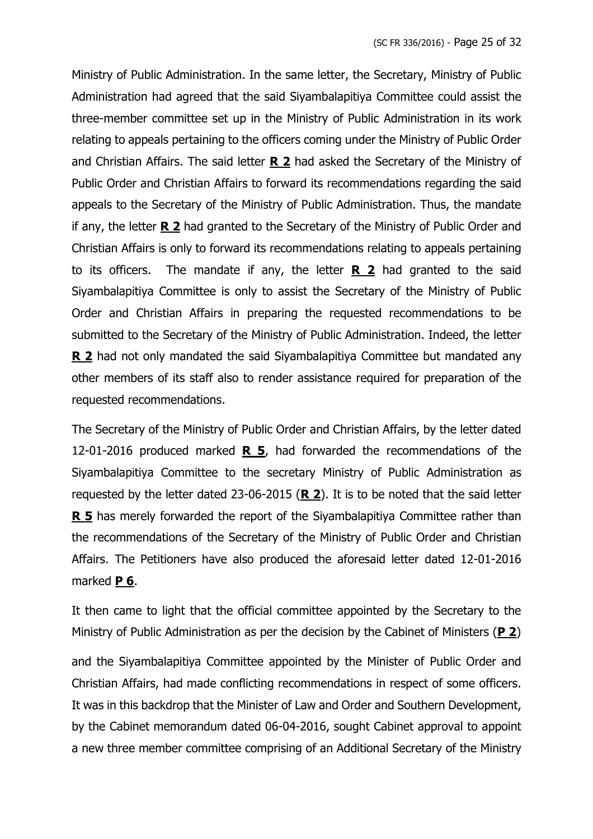Ministry of Public Administration. In the same letter, the Secretary, Ministry of Public Administration had agreed that the said Siyambalapitiya Committee could assist the three-member committee set up in the Ministry of Public Administration in its work relating to appeals pertaining to the officers coming under the Ministry of Public Order and Christian Affairs. The said letter **R 2** had asked the Secretary of the Ministry of Public Order and Christian Affairs to forward its recommendations regarding the said appeals to the Secretary of the Ministry of Public Administration. Thus, the mandate if any, the letter **R 2** had granted to the Secretary of the Ministry of Public Order and Christian Affairs is only to forward its recommendations relating to appeals pertaining to its officers. The mandate if any, the letter **R 2** had granted to the said Siyambalapitiya Committee is only to assist the Secretary of the Ministry of Public Order and Christian Affairs in preparing the requested recommendations to be submitted to the Secretary of the Ministry of Public Administration. Indeed, the letter **R 2** had not only mandated the said Siyambalapitiya Committee but mandated any other members of its staff also to render assistance required for preparation of the requested recommendations.

The Secretary of the Ministry of Public Order and Christian Affairs, by the letter dated 12-01-2016 produced marked **R 5**, had forwarded the recommendations of the Siyambalapitiya Committee to the secretary Ministry of Public Administration as requested by the letter dated 23-06-2015 (**R 2**). It is to be noted that the said letter **R 5** has merely forwarded the report of the Siyambalapitiya Committee rather than the recommendations of the Secretary of the Ministry of Public Order and Christian Affairs. The Petitioners have also produced the aforesaid letter dated 12-01-2016 marked **P 6**.

It then came to light that the official committee appointed by the Secretary to the Ministry of Public Administration as per the decision by the Cabinet of Ministers (**P 2**)

and the Siyambalapitiya Committee appointed by the Minister of Public Order and Christian Affairs, had made conflicting recommendations in respect of some officers. It was in this backdrop that the Minister of Law and Order and Southern Development, by the Cabinet memorandum dated 06-04-2016, sought Cabinet approval to appoint a new three member committee comprising of an Additional Secretary of the Ministry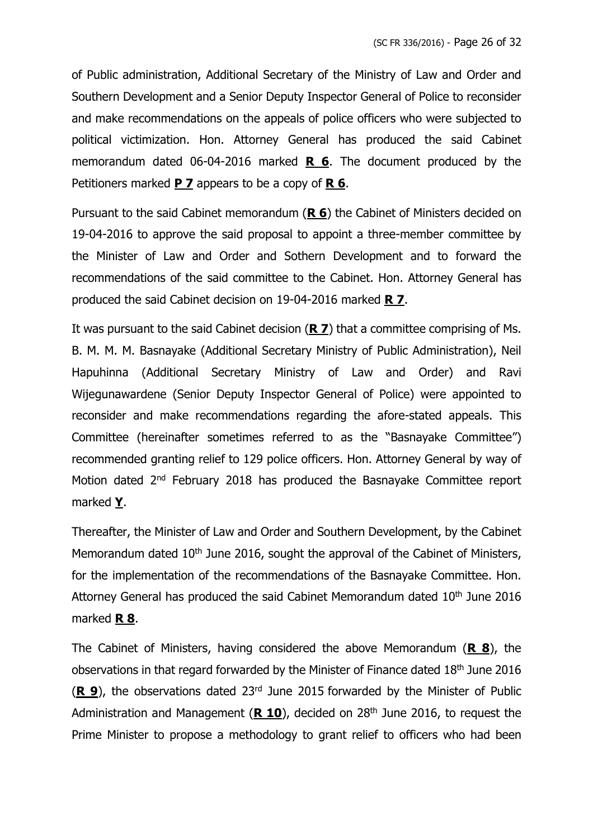of Public administration, Additional Secretary of the Ministry of Law and Order and Southern Development and a Senior Deputy Inspector General of Police to reconsider and make recommendations on the appeals of police officers who were subjected to political victimization. Hon. Attorney General has produced the said Cabinet memorandum dated 06-04-2016 marked **R 6**. The document produced by the Petitioners marked **P 7** appears to be a copy of **R 6**.

Pursuant to the said Cabinet memorandum (**R 6**) the Cabinet of Ministers decided on 19-04-2016 to approve the said proposal to appoint a three-member committee by the Minister of Law and Order and Sothern Development and to forward the recommendations of the said committee to the Cabinet. Hon. Attorney General has produced the said Cabinet decision on 19-04-2016 marked **R 7**.

It was pursuant to the said Cabinet decision (**R 7**) that a committee comprising of Ms. B. M. M. M. Basnayake (Additional Secretary Ministry of Public Administration), Neil Hapuhinna (Additional Secretary Ministry of Law and Order) and Ravi Wijegunawardene (Senior Deputy Inspector General of Police) were appointed to reconsider and make recommendations regarding the afore-stated appeals. This Committee (hereinafter sometimes referred to as the "Basnayake Committee") recommended granting relief to 129 police officers. Hon. Attorney General by way of Motion dated 2<sup>nd</sup> February 2018 has produced the Basnayake Committee report marked **Y**.

Thereafter, the Minister of Law and Order and Southern Development, by the Cabinet Memorandum dated 10<sup>th</sup> June 2016, sought the approval of the Cabinet of Ministers, for the implementation of the recommendations of the Basnayake Committee. Hon. Attorney General has produced the said Cabinet Memorandum dated 10<sup>th</sup> June 2016 marked **R 8**.

The Cabinet of Ministers, having considered the above Memorandum (**R 8**), the observations in that regard forwarded by the Minister of Finance dated 18th June 2016 (**R 9**), the observations dated 23rd June 2015 forwarded by the Minister of Public Administration and Management (**R 10**), decided on 28th June 2016, to request the Prime Minister to propose a methodology to grant relief to officers who had been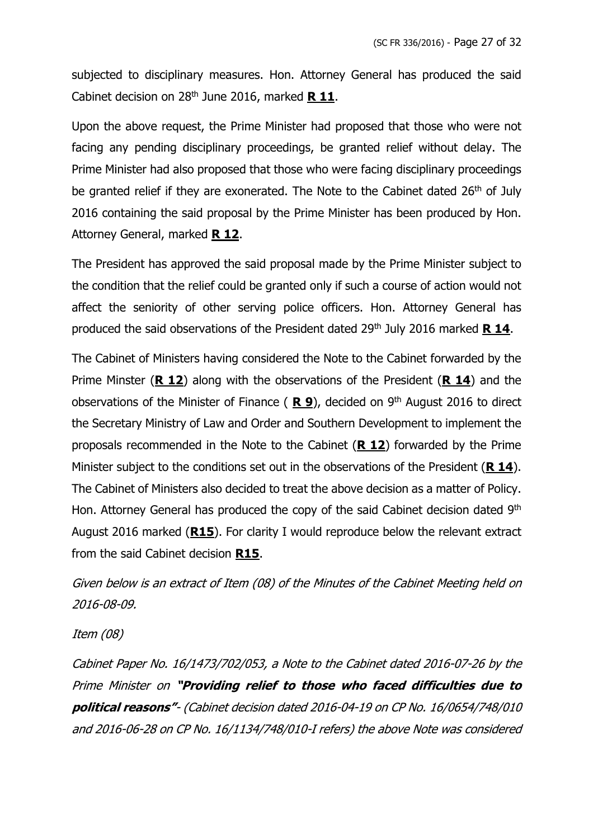subjected to disciplinary measures. Hon. Attorney General has produced the said Cabinet decision on 28th June 2016, marked **R 11**.

Upon the above request, the Prime Minister had proposed that those who were not facing any pending disciplinary proceedings, be granted relief without delay. The Prime Minister had also proposed that those who were facing disciplinary proceedings be granted relief if they are exonerated. The Note to the Cabinet dated 26<sup>th</sup> of July 2016 containing the said proposal by the Prime Minister has been produced by Hon. Attorney General, marked **R 12**.

The President has approved the said proposal made by the Prime Minister subject to the condition that the relief could be granted only if such a course of action would not affect the seniority of other serving police officers. Hon. Attorney General has produced the said observations of the President dated 29th July 2016 marked **R 14**.

The Cabinet of Ministers having considered the Note to the Cabinet forwarded by the Prime Minster (**R 12**) along with the observations of the President (**R 14**) and the observations of the Minister of Finance ( **R 9**), decided on 9 th August 2016 to direct the Secretary Ministry of Law and Order and Southern Development to implement the proposals recommended in the Note to the Cabinet (**R 12**) forwarded by the Prime Minister subject to the conditions set out in the observations of the President (**R 14**). The Cabinet of Ministers also decided to treat the above decision as a matter of Policy. Hon. Attorney General has produced the copy of the said Cabinet decision dated 9<sup>th</sup> August 2016 marked (**R15**). For clarity I would reproduce below the relevant extract from the said Cabinet decision **R15**.

Given below is an extract of Item (08) of the Minutes of the Cabinet Meeting held on 2016-08-09.

Item (08)

Cabinet Paper No. 16/1473/702/053, <sup>a</sup> Note to the Cabinet dated 2016-07-26 by the Prime Minister on **"Providing relief to those who faced difficulties due to political reasons"**- (Cabinet decision dated 2016-04-19 on CP No. 16/0654/748/010 and 2016-06-28 on CP No. 16/1134/748/010-I refers) the above Note was considered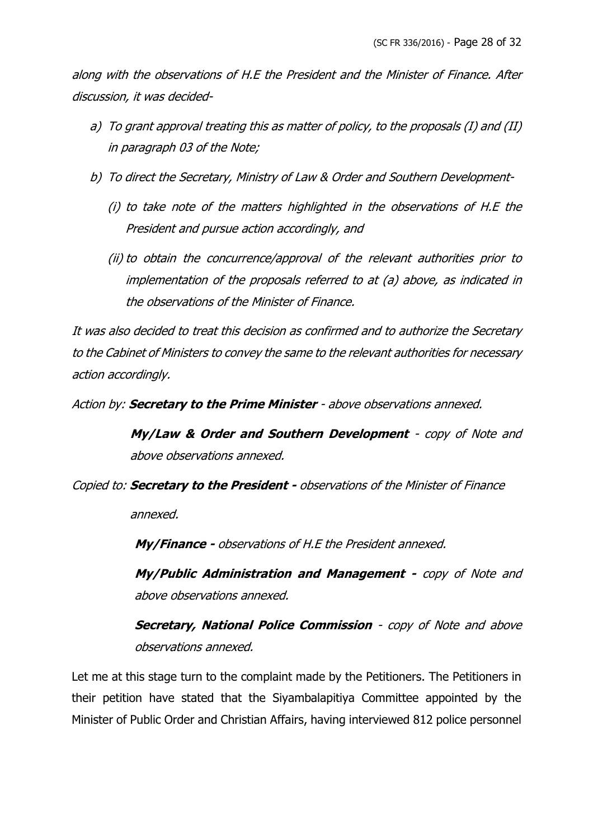along with the observations of H.E the President and the Minister of Finance. After discussion, it was decided-

- a) To grant approval treating this as matter of policy, to the proposals (I) and (II) in paragraph 03 of the Note;
- b) To direct the Secretary, Ministry of Law & Order and Southern Development-
	- (i) to take note of the matters highlighted in the observations of H.E the President and pursue action accordingly, and
	- (ii) to obtain the concurrence/approval of the relevant authorities prior to implementation of the proposals referred to at (a) above, as indicated in the observations of the Minister of Finance.

It was also decided to treat this decision as confirmed and to authorize the Secretary to the Cabinet of Ministers to convey the same to the relevant authorities for necessary action accordingly.

Action by: **Secretary to the Prime Minister** - above observations annexed.

**My/Law & Order and Southern Development** - copy of Note and above observations annexed.

Copied to: **Secretary to the President -** observations of the Minister of Finance

annexed.

**My/Finance -** observations of H.E the President annexed.

**My/Public Administration and Management -** copy of Note and above observations annexed.

**Secretary, National Police Commission** - copy of Note and above observations annexed.

Let me at this stage turn to the complaint made by the Petitioners. The Petitioners in their petition have stated that the Siyambalapitiya Committee appointed by the Minister of Public Order and Christian Affairs, having interviewed 812 police personnel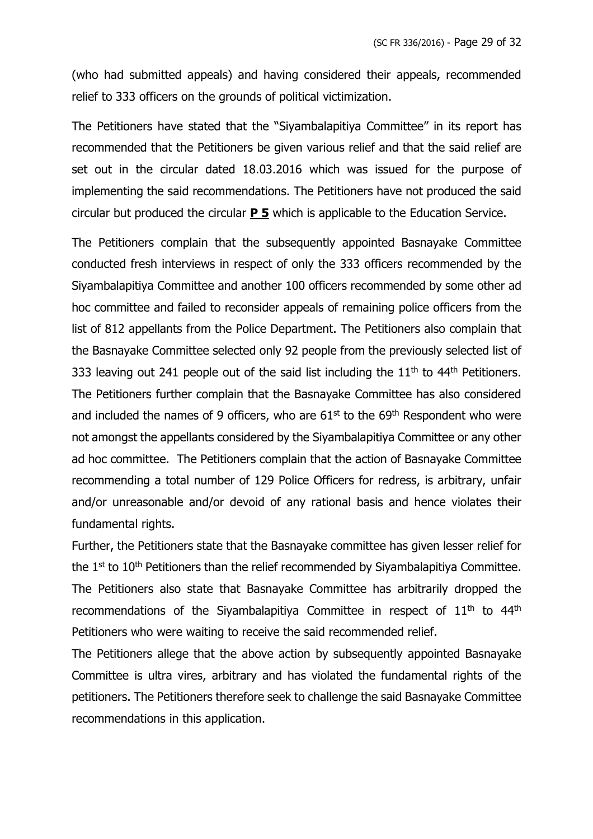(who had submitted appeals) and having considered their appeals, recommended relief to 333 officers on the grounds of political victimization.

The Petitioners have stated that the "Siyambalapitiya Committee" in its report has recommended that the Petitioners be given various relief and that the said relief are set out in the circular dated 18.03.2016 which was issued for the purpose of implementing the said recommendations. The Petitioners have not produced the said circular but produced the circular **P 5** which is applicable to the Education Service.

The Petitioners complain that the subsequently appointed Basnayake Committee conducted fresh interviews in respect of only the 333 officers recommended by the Siyambalapitiya Committee and another 100 officers recommended by some other ad hoc committee and failed to reconsider appeals of remaining police officers from the list of 812 appellants from the Police Department. The Petitioners also complain that the Basnayake Committee selected only 92 people from the previously selected list of 333 leaving out 241 people out of the said list including the  $11<sup>th</sup>$  to  $44<sup>th</sup>$  Petitioners. The Petitioners further complain that the Basnayake Committee has also considered and included the names of 9 officers, who are  $61<sup>st</sup>$  to the  $69<sup>th</sup>$  Respondent who were not amongst the appellants considered by the Siyambalapitiya Committee or any other ad hoc committee. The Petitioners complain that the action of Basnayake Committee recommending a total number of 129 Police Officers for redress, is arbitrary, unfair and/or unreasonable and/or devoid of any rational basis and hence violates their fundamental rights.

Further, the Petitioners state that the Basnayake committee has given lesser relief for the 1<sup>st</sup> to 10<sup>th</sup> Petitioners than the relief recommended by Siyambalapitiya Committee. The Petitioners also state that Basnayake Committee has arbitrarily dropped the recommendations of the Siyambalapitiya Committee in respect of  $11<sup>th</sup>$  to  $44<sup>th</sup>$ Petitioners who were waiting to receive the said recommended relief.

The Petitioners allege that the above action by subsequently appointed Basnayake Committee is ultra vires, arbitrary and has violated the fundamental rights of the petitioners. The Petitioners therefore seek to challenge the said Basnayake Committee recommendations in this application.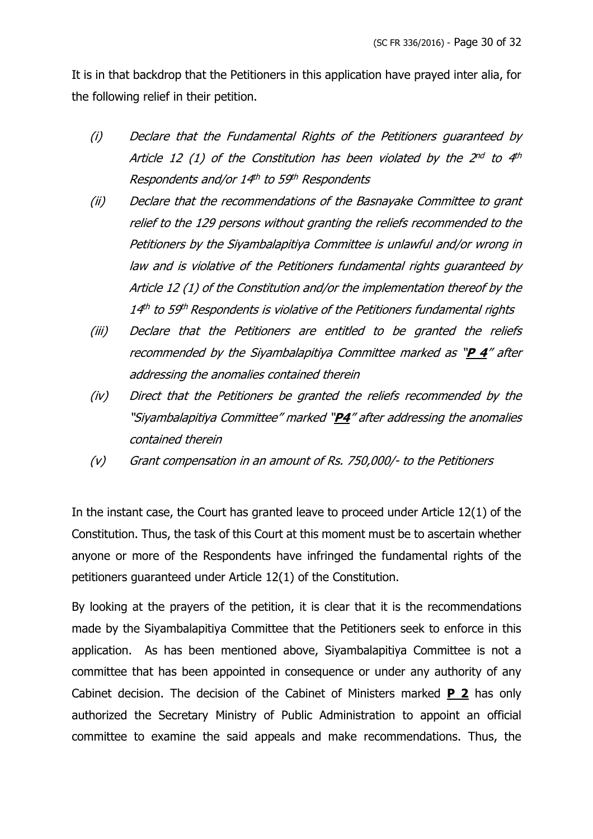It is in that backdrop that the Petitioners in this application have prayed inter alia, for the following relief in their petition.

- (i) Declare that the Fundamental Rights of the Petitioners guaranteed by Article 12 (1) of the Constitution has been violated by the 2nd to 4th Respondents and/or 14th to 59th Respondents
- (ii) Declare that the recommendations of the Basnayake Committee to grant relief to the 129 persons without granting the reliefs recommended to the Petitioners by the Siyambalapitiya Committee is unlawful and/or wrong in law and is violative of the Petitioners fundamental rights guaranteed by Article 12 (1) of the Constitution and/or the implementation thereof by the 14<sup>th</sup> to 59<sup>th</sup> Respondents is violative of the Petitioners fundamental rights
- (iii) Declare that the Petitioners are entitled to be granted the reliefs recommended by the Siyambalapitiya Committee marked as "**P 4**" after addressing the anomalies contained therein
- (iv) Direct that the Petitioners be granted the reliefs recommended by the "Siyambalapitiya Committee" marked "**P4**" after addressing the anomalies contained therein
- (v) Grant compensation in an amount of Rs. 750,000/- to the Petitioners

In the instant case, the Court has granted leave to proceed under Article 12(1) of the Constitution. Thus, the task of this Court at this moment must be to ascertain whether anyone or more of the Respondents have infringed the fundamental rights of the petitioners guaranteed under Article 12(1) of the Constitution.

By looking at the prayers of the petition, it is clear that it is the recommendations made by the Siyambalapitiya Committee that the Petitioners seek to enforce in this application. As has been mentioned above, Siyambalapitiya Committee is not a committee that has been appointed in consequence or under any authority of any Cabinet decision. The decision of the Cabinet of Ministers marked **P 2** has only authorized the Secretary Ministry of Public Administration to appoint an official committee to examine the said appeals and make recommendations. Thus, the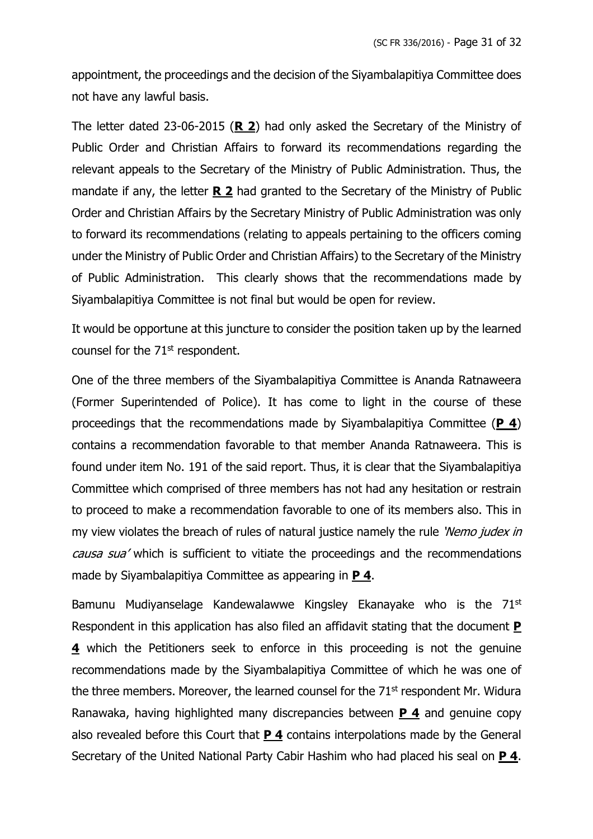appointment, the proceedings and the decision of the Siyambalapitiya Committee does not have any lawful basis.

The letter dated 23-06-2015 (**R 2**) had only asked the Secretary of the Ministry of Public Order and Christian Affairs to forward its recommendations regarding the relevant appeals to the Secretary of the Ministry of Public Administration. Thus, the mandate if any, the letter **R 2** had granted to the Secretary of the Ministry of Public Order and Christian Affairs by the Secretary Ministry of Public Administration was only to forward its recommendations (relating to appeals pertaining to the officers coming under the Ministry of Public Order and Christian Affairs) to the Secretary of the Ministry of Public Administration. This clearly shows that the recommendations made by Siyambalapitiya Committee is not final but would be open for review.

It would be opportune at this juncture to consider the position taken up by the learned counsel for the 71<sup>st</sup> respondent.

One of the three members of the Siyambalapitiya Committee is Ananda Ratnaweera (Former Superintended of Police). It has come to light in the course of these proceedings that the recommendations made by Siyambalapitiya Committee (**P 4**) contains a recommendation favorable to that member Ananda Ratnaweera. This is found under item No. 191 of the said report. Thus, it is clear that the Siyambalapitiya Committee which comprised of three members has not had any hesitation or restrain to proceed to make a recommendation favorable to one of its members also. This in my view violates the breach of rules of natural justice namely the rule 'Nemo judex in causa sua' which is sufficient to vitiate the proceedings and the recommendations made by Siyambalapitiya Committee as appearing in **P 4**.

Bamunu Mudiyanselage Kandewalawwe Kingsley Ekanayake who is the 71<sup>st</sup> Respondent in this application has also filed an affidavit stating that the document **P 4** which the Petitioners seek to enforce in this proceeding is not the genuine recommendations made by the Siyambalapitiya Committee of which he was one of the three members. Moreover, the learned counsel for the 71<sup>st</sup> respondent Mr. Widura Ranawaka, having highlighted many discrepancies between **P 4** and genuine copy also revealed before this Court that **P 4** contains interpolations made by the General Secretary of the United National Party Cabir Hashim who had placed his seal on **P 4**.